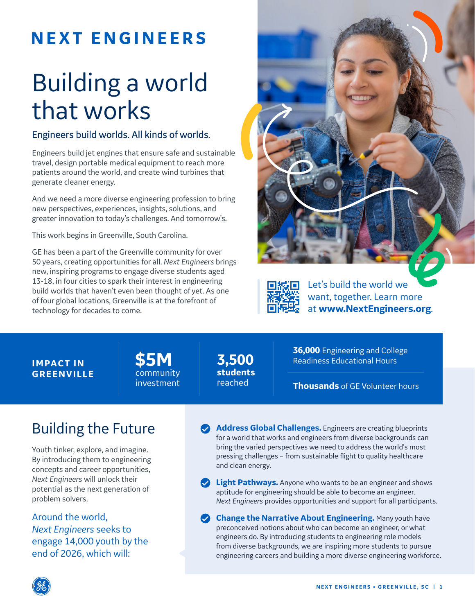## **NEXT ENGINEERS**

# Building a world that works

#### Engineers build worlds. All kinds of worlds.

Engineers build jet engines that ensure safe and sustainable travel, design portable medical equipment to reach more patients around the world, and create wind turbines that generate cleaner energy.

And we need a more diverse engineering profession to bring new perspectives, experiences, insights, solutions, and greater innovation to today's challenges. And tomorrow's.

This work begins in Greenville, South Carolina.

GE has been a part of the Greenville community for over 50 years, creating opportunities for all. *Next Engineers* brings new, inspiring programs to engage diverse students aged 13-18, in four cities to spark their interest in engineering build worlds that haven't even been thought of yet. As one of four global locations, Greenville is at the forefront of technology for decades to come.





Let's build the world we want, together. Learn more at **www.NextEngineers.org**.

#### **IMPACT IN GREENVILLE**

**\$5M** community investment **3,500 students**  reached

**36,000** Engineering and College Readiness Educational Hours

**Thousands** of GE Volunteer hours

### Building the Future

Youth tinker, explore, and imagine. By introducing them to engineering concepts and career opportunities, *Next Engineers* will unlock their potential as the next generation of problem solvers.

Around the world, *Next Engineers* seeks to engage 14,000 youth by the end of 2026, which will:

**Address Global Challenges.** Engineers are creating blueprints for a world that works and engineers from diverse backgrounds can bring the varied perspectives we need to address the world's most pressing challenges – from sustainable flight to quality healthcare and clean energy.

**Light Pathways.** Anyone who wants to be an engineer and shows aptitude for engineering should be able to become an engineer. *Next Engineers* provides opportunities and support for all participants.

**Change the Narrative About Engineering.** Many youth have preconceived notions about who can become an engineer, or what engineers do. By introducing students to engineering role models from diverse backgrounds, we are inspiring more students to pursue engineering careers and building a more diverse engineering workforce.